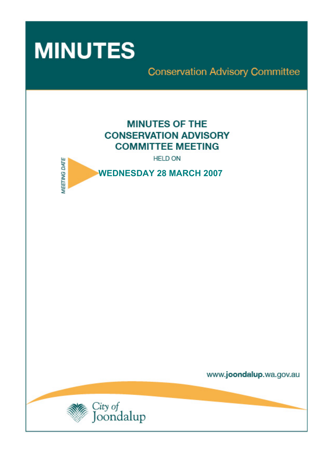

**Conservation Advisory Committee** 

# **MINUTES OF THE CONSERVATION ADVISORY COMMITTEE MEETING**

**HELD ON** 



www.joondalup.wa.gov.au

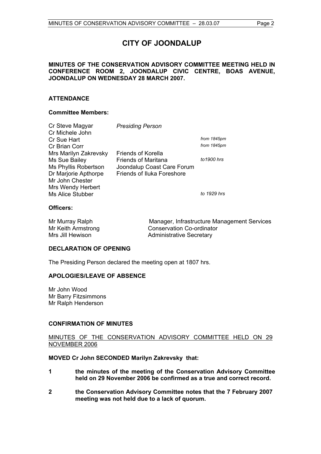# **CITY OF JOONDALUP**

# **MINUTES OF THE CONSERVATION ADVISORY COMMITTEE MEETING HELD IN CONFERENCE ROOM 2, JOONDALUP CIVIC CENTRE, BOAS AVENUE, JOONDALUP ON WEDNESDAY 28 MARCH 2007.**

# **ATTENDANCE**

# **Committee Members:**

| Cr Steve Magyar<br>Cr Michele John | <b>Presiding Person</b>           |             |
|------------------------------------|-----------------------------------|-------------|
| Cr Sue Hart                        |                                   | from 1845pm |
| Cr Brian Corr                      |                                   | from 1845pm |
| Mrs Marilyn Zakrevsky              | <b>Friends of Korella</b>         |             |
| Ms Sue Bailey                      | <b>Friends of Maritana</b>        | to 1900 hrs |
| Ms Phyllis Robertson               | Joondalup Coast Care Forum        |             |
| Dr Marjorie Apthorpe               | <b>Friends of Iluka Foreshore</b> |             |
| Mr John Chester                    |                                   |             |
| Mrs Wendy Herbert                  |                                   |             |
| Ms Alice Stubber                   |                                   | to 1929 hrs |
|                                    |                                   |             |

# **Officers:**

Mr Murray Ralph Manager, Infrastructure Management Services Mr Keith Armstrong Conservation Co-ordinator Mrs Jill Hewison **Administrative Secretary** 

# **DECLARATION OF OPENING**

The Presiding Person declared the meeting open at 1807 hrs.

# **APOLOGIES/LEAVE OF ABSENCE**

Mr John Wood Mr Barry Fitzsimmons Mr Ralph Henderson

# **CONFIRMATION OF MINUTES**

# MINUTES OF THE CONSERVATION ADVISORY COMMITTEE HELD ON 29 NOVEMBER 2006

# **MOVED Cr John SECONDED Marilyn Zakrevsky that:**

- **1 the minutes of the meeting of the Conservation Advisory Committee held on 29 November 2006 be confirmed as a true and correct record.**
- **2 the Conservation Advisory Committee notes that the 7 February 2007 meeting was not held due to a lack of quorum.**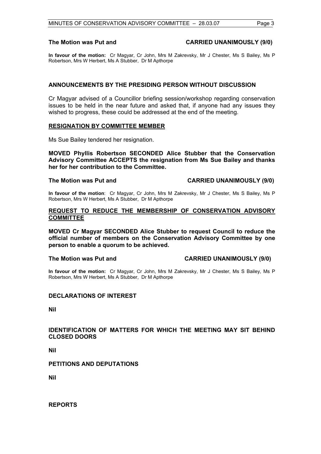### **The Motion was Put and CARRIED UNANIMOUSLY (9/0)**

**In favour of the motion:** Cr Magyar, Cr John, Mrs M Zakrevsky, Mr J Chester, Ms S Bailey, Ms P Robertson, Mrs W Herbert, Ms A Stubber, Dr M Apthorpe

# **ANNOUNCEMENTS BY THE PRESIDING PERSON WITHOUT DISCUSSION**

Cr Magyar advised of a Councillor briefing session/workshop regarding conservation issues to be held in the near future and asked that, if anyone had any issues they wished to progress, these could be addressed at the end of the meeting.

# **RESIGNATION BY COMMITTEE MEMBER**

Ms Sue Bailey tendered her resignation.

**MOVED Phyllis Robertson SECONDED Alice Stubber that the Conservation Advisory Committee ACCEPTS the resignation from Ms Sue Bailey and thanks her for her contribution to the Committee.** 

# **The Motion was Put and CARRIED UNANIMOUSLY (9/0)**

**In favour of the motion**: Cr Magyar, Cr John, Mrs M Zakrevsky, Mr J Chester, Ms S Bailey, Ms P Robertson, Mrs W Herbert, Ms A Stubber, Dr M Apthorpe

# **REQUEST TO REDUCE THE MEMBERSHIP OF CONSERVATION ADVISORY COMMITTEE**

**MOVED Cr Magyar SECONDED Alice Stubber to request Council to reduce the official number of members on the Conservation Advisory Committee by one person to enable a quorum to be achieved.** 

# **The Motion was Put and CARRIED UNANIMOUSLY (9/0)**

**In favour of the motion:** Cr Magyar, Cr John, Mrs M Zakrevsky, Mr J Chester, Ms S Bailey, Ms P Robertson, Mrs W Herbert, Ms A Stubber, Dr M Apthorpe

# **DECLARATIONS OF INTEREST**

**Nil** 

# **IDENTIFICATION OF MATTERS FOR WHICH THE MEETING MAY SIT BEHIND CLOSED DOORS**

**Nil** 

# **PETITIONS AND DEPUTATIONS**

**Nil** 

**REPORTS**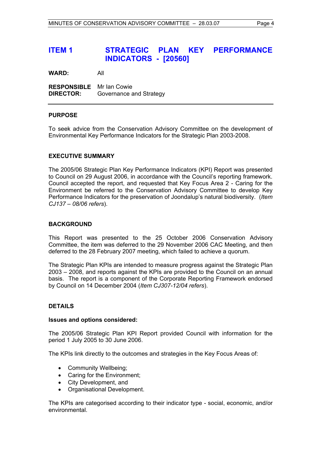**WARD:** All

**RESPONSIBLE** Mr Ian Cowie **DIRECTOR:** Governance and Strategy

# **PURPOSE**

To seek advice from the Conservation Advisory Committee on the development of Environmental Key Performance Indicators for the Strategic Plan 2003-2008.

# **EXECUTIVE SUMMARY**

The 2005/06 Strategic Plan Key Performance Indicators (KPI) Report was presented to Council on 29 August 2006, in accordance with the Council's reporting framework. Council accepted the report, and requested that Key Focus Area 2 - Caring for the Environment be referred to the Conservation Advisory Committee to develop Key Performance Indicators for the preservation of Joondalup's natural biodiversity. (*Item CJ137 – 08/06 refers*).

#### **BACKGROUND**

This Report was presented to the 25 October 2006 Conservation Advisory Committee, the item was deferred to the 29 November 2006 CAC Meeting, and then deferred to the 28 February 2007 meeting, which failed to achieve a quorum.

The Strategic Plan KPIs are intended to measure progress against the Strategic Plan 2003 – 2008, and reports against the KPIs are provided to the Council on an annual basis. The report is a component of the Corporate Reporting Framework endorsed by Council on 14 December 2004 (*Item CJ307-12/04 refers*).

# **DETAILS**

#### **Issues and options considered:**

The 2005/06 Strategic Plan KPI Report provided Council with information for the period 1 July 2005 to 30 June 2006.

The KPIs link directly to the outcomes and strategies in the Key Focus Areas of:

- Community Wellbeing;
- Caring for the Environment:
- City Development, and
- Organisational Development.

The KPIs are categorised according to their indicator type - social, economic, and/or environmental.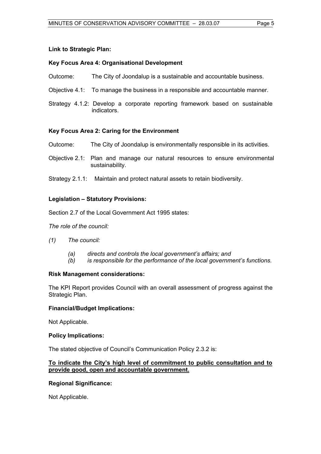# **Link to Strategic Plan:**

# **Key Focus Area 4: Organisational Development**

- Outcome: The City of Joondalup is a sustainable and accountable business.
- Objective 4.1: To manage the business in a responsible and accountable manner.
- Strategy 4.1.2: Develop a corporate reporting framework based on sustainable indicators.

# **Key Focus Area 2: Caring for the Environment**

- Outcome: The City of Joondalup is environmentally responsible in its activities.
- Objective 2.1: Plan and manage our natural resources to ensure environmental sustainability.
- Strategy 2.1.1: Maintain and protect natural assets to retain biodiversity.

# **Legislation – Statutory Provisions:**

Section 2.7 of the Local Government Act 1995 states:

*The role of the council:* 

- *(1) The council:*
	- *(a) directs and controls the local government's affairs; and*
	- *(b) is responsible for the performance of the local government's functions.*

# **Risk Management considerations:**

The KPI Report provides Council with an overall assessment of progress against the Strategic Plan.

# **Financial/Budget Implications:**

Not Applicable.

# **Policy Implications:**

The stated objective of Council's Communication Policy 2.3.2 is:

# **To indicate the City's high level of commitment to public consultation and to provide good, open and accountable government.**

# **Regional Significance:**

Not Applicable.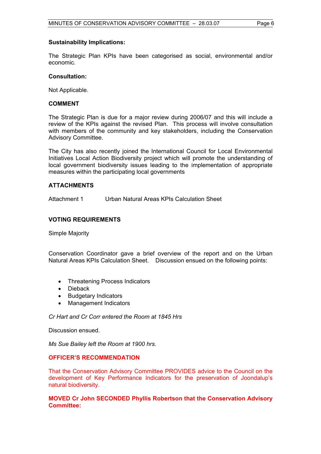# **Sustainability Implications:**

The Strategic Plan KPIs have been categorised as social, environmental and/or economic.

# **Consultation:**

Not Applicable.

# **COMMENT**

The Strategic Plan is due for a major review during 2006/07 and this will include a review of the KPIs against the revised Plan. This process will involve consultation with members of the community and key stakeholders, including the Conservation Advisory Committee.

The City has also recently joined the International Council for Local Environmental Initiatives Local Action Biodiversity project which will promote the understanding of local government biodiversity issues leading to the implementation of appropriate measures within the participating local governments

# **ATTACHMENTS**

Attachment 1 Urban Natural Areas KPIs Calculation Sheet

# **VOTING REQUIREMENTS**

Simple Majority

Conservation Coordinator gave a brief overview of the report and on the Urban Natural Areas KPIs Calculation Sheet. Discussion ensued on the following points:

- Threatening Process Indicators
- **Dieback**
- Budgetary Indicators
- Management Indicators

*Cr Hart and Cr Corr entered the Room at 1845 Hrs* 

Discussion ensued.

*Ms Sue Bailey left the Room at 1900 hrs.* 

# **OFFICER'S RECOMMENDATION**

That the Conservation Advisory Committee PROVIDES advice to the Council on the development of Key Performance Indicators for the preservation of Joondalup's natural biodiversity.

# **MOVED Cr John SECONDED Phyllis Robertson that the Conservation Advisory Committee:**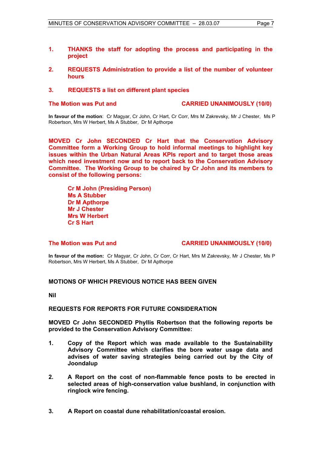- **1. THANKS the staff for adopting the process and participating in the project**
- **2. REQUESTS Administration to provide a list of the number of volunteer hours**

# **3. REQUESTS a list on different plant species**

# **The Motion was Put and CARRIED UNANIMOUSLY (10/0)**

**In favour of the motion**: Cr Magyar, Cr John, Cr Hart, Cr Corr, Mrs M Zakrevsky, Mr J Chester, Ms P Robertson, Mrs W Herbert, Ms A Stubber, Dr M Apthorpe

**MOVED Cr John SECONDED Cr Hart that the Conservation Advisory Committee form a Working Group to hold informal meetings to highlight key issues within the Urban Natural Areas KPIs report and to target those areas which need investment now and to report back to the Conservation Advisory Committee. The Working Group to be chaired by Cr John and its members to consist of the following persons:** 

**Cr M John (Presiding Person) Ms A Stubber Dr M Apthorpe Mr J Chester Mrs W Herbert Cr S Hart** 

# **The Motion was Put and CARRIED UNANIMOUSLY (10/0)**

**In favour of the motion:** Cr Magyar, Cr John, Cr Corr, Cr Hart, Mrs M Zakrevsky, Mr J Chester, Ms P Robertson, Mrs W Herbert, Ms A Stubber, Dr M Apthorpe

# **MOTIONS OF WHICH PREVIOUS NOTICE HAS BEEN GIVEN**

**Nil** 

# **REQUESTS FOR REPORTS FOR FUTURE CONSIDERATION**

**MOVED Cr John SECONDED Phyllis Robertson that the following reports be provided to the Conservation Advisory Committee:** 

- **1. Copy of the Report which was made available to the Sustainability Advisory Committee which clarifies the bore water usage data and advises of water saving strategies being carried out by the City of Joondalup**
- **2. A Report on the cost of non-flammable fence posts to be erected in selected areas of high-conservation value bushland, in conjunction with ringlock wire fencing.**
- **3. A Report on coastal dune rehabilitation/coastal erosion.**